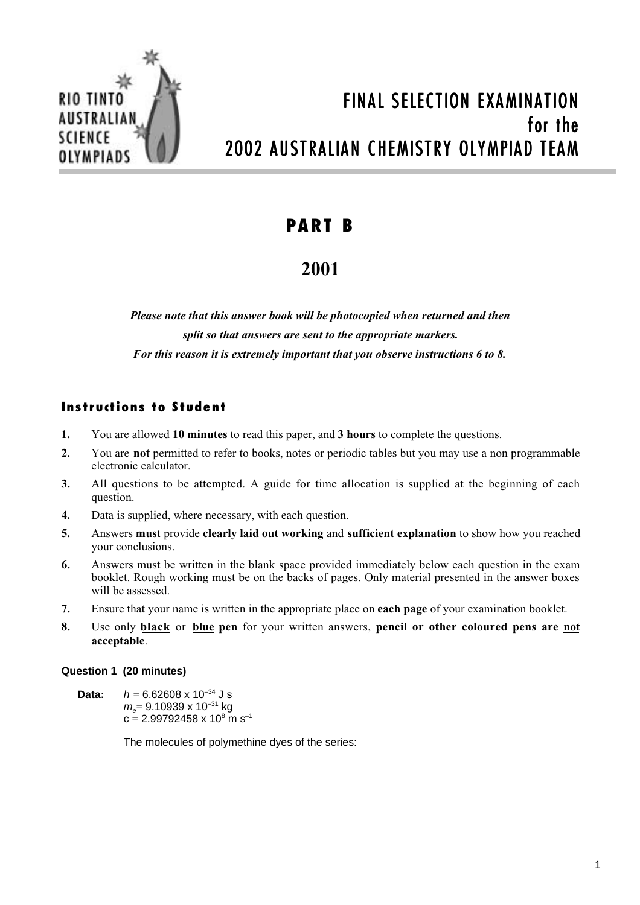

# FINAL SELECTION EXAMINATION for the 2002 AUSTRALIAN CHEMISTRY OLYMPIAD TEAM

### **PART B**

## **2001**

*Please note that this answer book will be photocopied when returned and then split so that answers are sent to the appropriate markers. For this reason it is extremely important that you observe instructions 6 to 8.*

### **Instructions to Student**

- **1.** You are allowed **10 minutes** to read this paper, and **3 hours** to complete the questions.
- **2.** You are **not** permitted to refer to books, notes or periodic tables but you may use a non programmable electronic calculator.
- **3.** All questions to be attempted. A guide for time allocation is supplied at the beginning of each question.
- **4.** Data is supplied, where necessary, with each question.
- **5.** Answers **must** provide **clearly laid out working** and **sufficient explanation** to show how you reached your conclusions.
- **6.** Answers must be written in the blank space provided immediately below each question in the exam booklet. Rough working must be on the backs of pages. Only material presented in the answer boxes will be assessed.
- **7.** Ensure that your name is written in the appropriate place on **each page** of your examination booklet.
- **8.** Use only **black** or **blue pen** for your written answers, **pencil or other coloured pens are not acceptable**.

#### **Question 1 (20 minutes)**

**Data:**  $h = 6.62608 \times 10^{-34}$  J s  $m<sub>e</sub>= 9.10939 \times 10^{-31}$  kg  $c = 2.99792458 \times 10^8$  m s<sup>-1</sup>

The molecules of polymethine dyes of the series: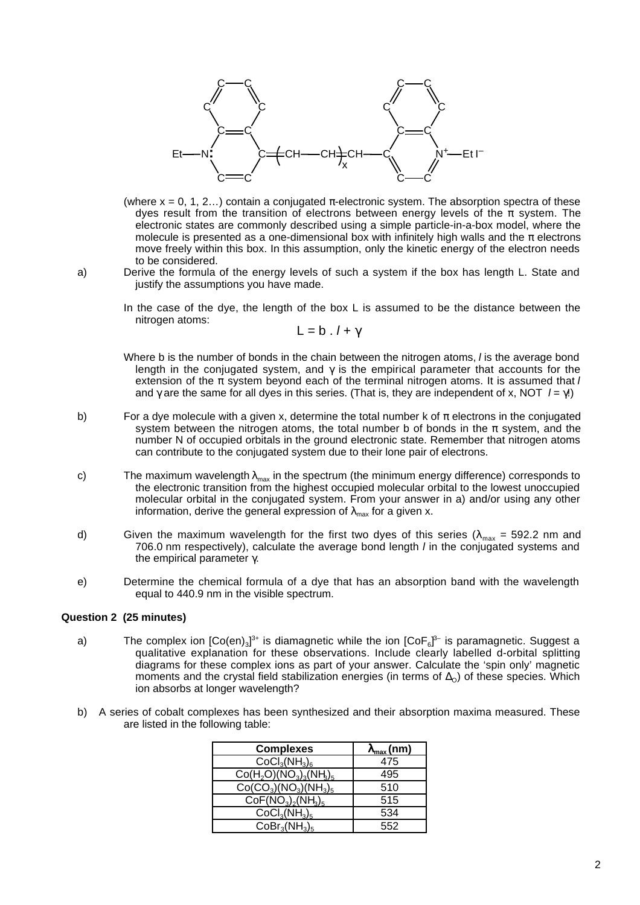

- (where  $x = 0, 1, 2...$ ) contain a conjugated  $\pi$ -electronic system. The absorption spectra of these dyes result from the transition of electrons between energy levels of the  $\pi$  system. The electronic states are commonly described using a simple particle-in-a-box model, where the molecule is presented as a one-dimensional box with infinitely high walls and the  $\pi$  electrons move freely within this box. In this assumption, only the kinetic energy of the electron needs to be considered.
- a) Derive the formula of the energy levels of such a system if the box has length L. State and justify the assumptions you have made.
	- In the case of the dye, the length of the box L is assumed to be the distance between the nitrogen atoms:

 $L = b$ .  $l + \gamma$ 

- Where b is the number of bonds in the chain between the nitrogen atoms, I is the average bond length in the conjugated system, and  $\gamma$  is the empirical parameter that accounts for the extension of the  $\pi$  system beyond each of the terminal nitrogen atoms. It is assumed that  $I$ and  $\gamma$  are the same for all dyes in this series. (That is, they are independent of x, NOT  $I = \gamma I$ )
- b) For a dye molecule with a given x, determine the total number k of  $\pi$  electrons in the conjugated system between the nitrogen atoms, the total number b of bonds in the  $\pi$  system, and the number N of occupied orbitals in the ground electronic state. Remember that nitrogen atoms can contribute to the conjugated system due to their lone pair of electrons.
- c) The maximum wavelength  $\lambda_{\text{max}}$  in the spectrum (the minimum energy difference) corresponds to the electronic transition from the highest occupied molecular orbital to the lowest unoccupied molecular orbital in the conjugated system. From your answer in a) and/or using any other information, derive the general expression of  $\lambda_{\text{max}}$  for a given x.
- d) Given the maximum wavelength for the first two dyes of this series ( $\lambda_{\text{max}}$  = 592.2 nm and 706.0 nm respectively), calculate the average bond length  $I$  in the conjugated systems and the empirical parameter γ.
- e) Determine the chemical formula of a dye that has an absorption band with the wavelength equal to 440.9 nm in the visible spectrum.

#### **Question 2 (25 minutes)**

- a) The complex ion  $[Co(en)_3]^{3+}$  is diamagnetic while the ion  $[CoF_6]^{3-}$  is paramagnetic. Suggest a qualitative explanation for these observations. Include clearly labelled d-orbital splitting diagrams for these complex ions as part of your answer. Calculate the 'spin only' magnetic moments and the crystal field stabilization energies (in terms of  $\Delta_{O}$ ) of these species. Which ion absorbs at longer wavelength?
- b) A series of cobalt complexes has been synthesized and their absorption maxima measured. These are listed in the following table:

| <b>Complexes</b>         | $\lambda_{\max}$ (nm) |
|--------------------------|-----------------------|
| $CoCl3(NH3)6$            | 475                   |
| $Co(H2O)(NO3)3(NH3)5$    | 495                   |
| $Co(CO_3)(NO_3)(NH_3)_5$ | 510                   |
| $CoF(NO3)2(NH3)5$        | 515                   |
| $CoCl3(NH3)5$            | 534                   |
| $CoBr3(NH3)5$            | 552                   |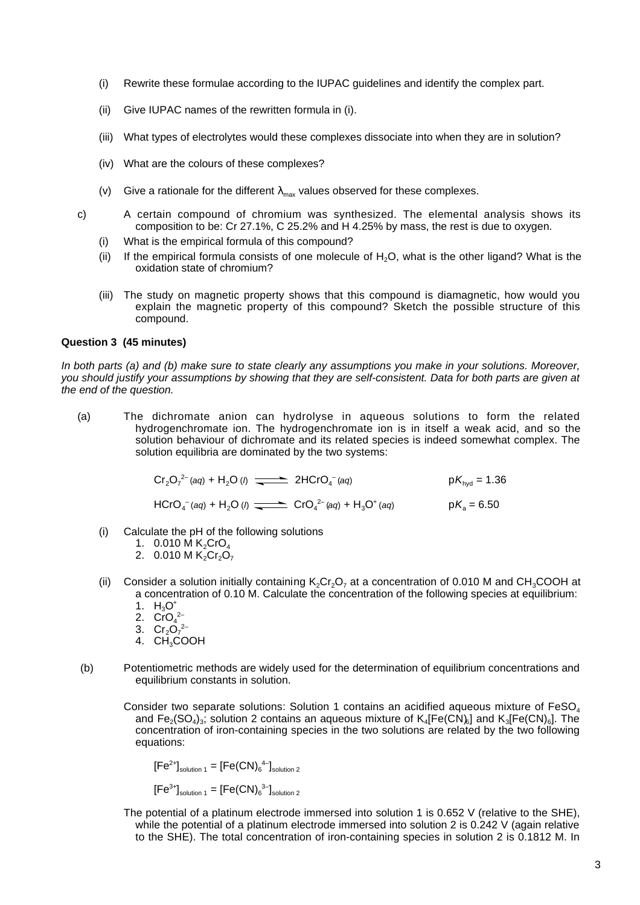- (i) Rewrite these formulae according to the IUPAC guidelines and identify the complex part.
- (ii) Give IUPAC names of the rewritten formula in (i).
- (iii) What types of electrolytes would these complexes dissociate into when they are in solution?
- (iv) What are the colours of these complexes?
- (v) Give a rationale for the different  $\lambda_{\text{max}}$  values observed for these complexes.
- c) A certain compound of chromium was synthesized. The elemental analysis shows its composition to be: Cr 27.1%, C 25.2% and H 4.25% by mass, the rest is due to oxygen.
	- (i) What is the empirical formula of this compound?
	- (ii) If the empirical formula consists of one molecule of  $H_2O$ , what is the other ligand? What is the oxidation state of chromium?
	- (iii) The study on magnetic property shows that this compound is diamagnetic, how would you explain the magnetic property of this compound? Sketch the possible structure of this compound.

#### **Question 3 (45 minutes)**

In both parts (a) and (b) make sure to state clearly any assumptions you make in your solutions. Moreover, you should justify your assumptions by showing that they are self-consistent. Data for both parts are given at the end of the question.

(a) The dichromate anion can hydrolyse in aqueous solutions to form the related hydrogenchromate ion. The hydrogenchromate ion is in itself a weak acid, and so the solution behaviour of dichromate and its related species is indeed somewhat complex. The solution equilibria are dominated by the two systems:

$$
Cr_2O_7^{2-}(aq) + H_2O(1)
$$
  $\longrightarrow$  2HCrO<sub>4</sub><sup>-</sup>(aq)  $pK_{hyd} = 1.36$   
HCrO<sub>4</sub><sup>-</sup>(aq) + H<sub>2</sub>O(1)  $\longrightarrow$  CrO<sub>4</sub><sup>2-</sup>(aq) + H<sub>3</sub>O<sup>+</sup>(aq)  $pK_a = 6.50$ 

- (i) Calculate the pH of the following solutions
	- 1. 0.010 M  $K_2$ CrO<sub>4</sub>
	- 2. 0.010 M  $K_2Cr_2O_7$
- (ii) Consider a solution initially containing  $K_2Cr_2O_7$  at a concentration of 0.010 M and CH<sub>3</sub>COOH at a concentration of 0.10 M. Calculate the concentration of the following species at equilibrium:
	- 1.  $H_3O^+$
	- 2.  $CrO<sub>4</sub><sup>2–</sup>$
	- 3.  $Cr_2O_7^{2-}$
	- 4. CH<sub>3</sub>COOH
- (b) Potentiometric methods are widely used for the determination of equilibrium concentrations and equilibrium constants in solution.
	- Consider two separate solutions: Solution 1 contains an acidified aqueous mixture of FeSO<sub>4</sub> and  $Fe_2(SO_4)_3$ , solution 2 contains an aqueous mixture of  $K_4[Fe(CN)_6]$  and  $K_3[Fe(CN)_6]$ . The concentration of iron-containing species in the two solutions are related by the two following equations:

$$
[Fe^{2+}]_{\text{solution 1}} = [Fe(CN)64-]_{\text{solution 2}}
$$

$$
[Fe^{3+}]_{\text{solution 1}} = [Fe(CN)_6^{3-}]_{\text{solution 2}}
$$

The potential of a platinum electrode immersed into solution 1 is 0.652 V (relative to the SHE), while the potential of a platinum electrode immersed into solution 2 is 0.242 V (again relative to the SHE). The total concentration of iron-containing species in solution 2 is 0.1812 M. In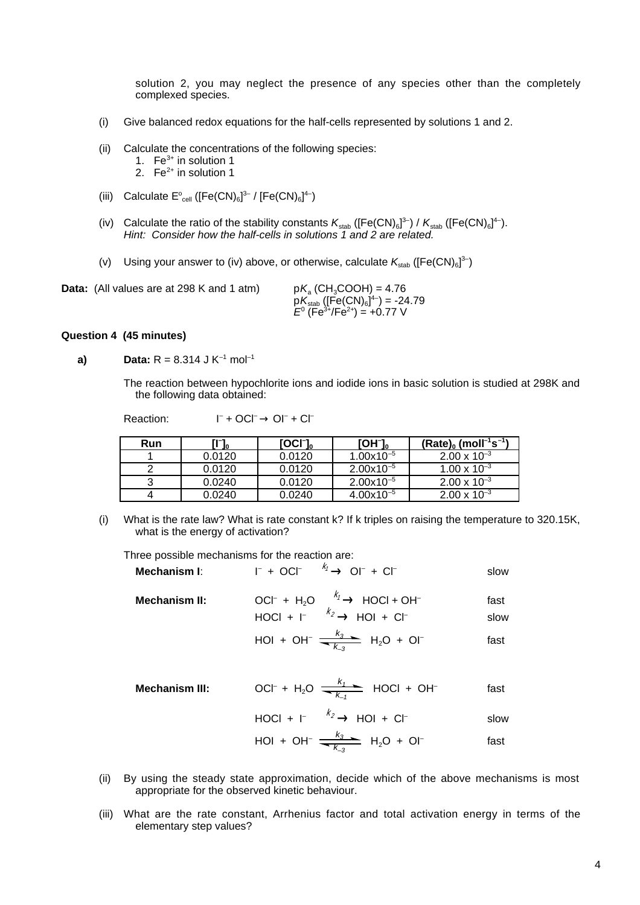solution 2, you may neglect the presence of any species other than the completely complexed species.

- (i) Give balanced redox equations for the half-cells represented by solutions 1 and 2.
- (ii) Calculate the concentrations of the following species:
	- 1.  $Fe<sup>3+</sup>$  in solution 1
	- 2. Fe $^{2+}$  in solution 1
- (iii) Calculate  $\mathsf{E}_{cell}^{\circ}$  ([Fe(CN)<sub>6</sub>]<sup>3-</sup> / [Fe(CN)<sub>6</sub>]<sup>4-</sup>)
- (iv) Calculate the ratio of the stability constants  $K_{stab}$  ([Fe(CN)<sub>6</sub>]<sup>3-</sup>) /  $K_{stab}$  ([Fe(CN)<sub>6</sub>]<sup>4-</sup>). Hint: Consider how the half-cells in solutions 1 and 2 are related.
- (v) Using your answer to (iv) above, or otherwise, calculate  $K_{\text{stab}}$  ([Fe(CN)<sub>6</sub>]<sup>3-</sup>)

 $+$  OCl<sup>-</sup> $\rightarrow$  Ol<sup>-</sup> + Cl<sup>-</sup>

**Data:** (All values are at 298 K and 1 atm)  $pK_s$  (CH<sub>3</sub>COOH) = 4.76

 $\mathsf{p}\mathsf{K}_\mathsf{stab}\left(\mathsf{[Fe(CN)}_6\right)^{\!4-}\right)$  = -24.79  $E^0$  (Fe<sup>3+</sup>/Fe<sup>2+</sup>) = +0.77 V

#### **Question 4 (45 minutes)**

**a)** Data:  $R = 8.314$  J K<sup>-1</sup> mol<sup>-1</sup>

The reaction between hypochlorite ions and iodide ions in basic solution is studied at 298K and the following data obtained:

Reaction:

| Run | Ч7.<br>- In | IOCI <sub>0</sub> | $[OH^-]_0$     | $(Rate)_{0}$ (moll <sup>-1</sup> s <sup>-1</sup> ) |
|-----|-------------|-------------------|----------------|----------------------------------------------------|
|     | 0.0120      | 0.0120            | $1.00x10^{-5}$ | $2.00 \times 10^{-3}$                              |
|     | 0.0120      | 0.0120            | $2.00x10^{-5}$ | $1.00 \times 10^{-3}$                              |
|     | 0.0240      | 0.0120            | $2.00x10^{-5}$ | $2.00 \times 10^{-3}$                              |
|     | 0.0240      | 0.0240            | $4.00x10^{-5}$ | $2.00 \times 10^{-3}$                              |

(i) What is the rate law? What is rate constant k? If k triples on raising the temperature to 320.15K, what is the energy of activation?

Three possible mechanisms for the reaction are:

| Mechanism I:          | $\Gamma$ + OCI <sup>-</sup> $\xrightarrow{k_f}$ OI <sup>-</sup> + CI <sup>-</sup>                                                 | slow         |
|-----------------------|-----------------------------------------------------------------------------------------------------------------------------------|--------------|
| Mechanism II:         | OCI <sup>-</sup> + H <sub>2</sub> O $\xrightarrow{\ k_1}$ HOCI + OH <sup>-</sup><br>$H OCl + I^ \xrightarrow{k_2}$ $H O I + Cl^-$ | fast<br>slow |
|                       | HOI + OH <sup>-</sup> $\frac{k_3}{k_3}$ H <sub>2</sub> O + OI <sup>-</sup>                                                        | fast         |
| <b>Mechanism III:</b> | OCI <sup>-</sup> + H <sub>2</sub> O $\frac{k_1}{k_1}$ HOCI + OH <sup>-</sup>                                                      | fast         |
|                       | HOCI + $\Gamma$ $\xrightarrow{k_2}$ HOI + C $\Gamma$                                                                              | slow         |
|                       | HOI + OH <sup>-</sup> $\frac{k_3}{k_3}$ H <sub>2</sub> O + OI <sup>-</sup>                                                        | fast         |

- (ii) By using the steady state approximation, decide which of the above mechanisms is most appropriate for the observed kinetic behaviour.
- (iii) What are the rate constant, Arrhenius factor and total activation energy in terms of the elementary step values?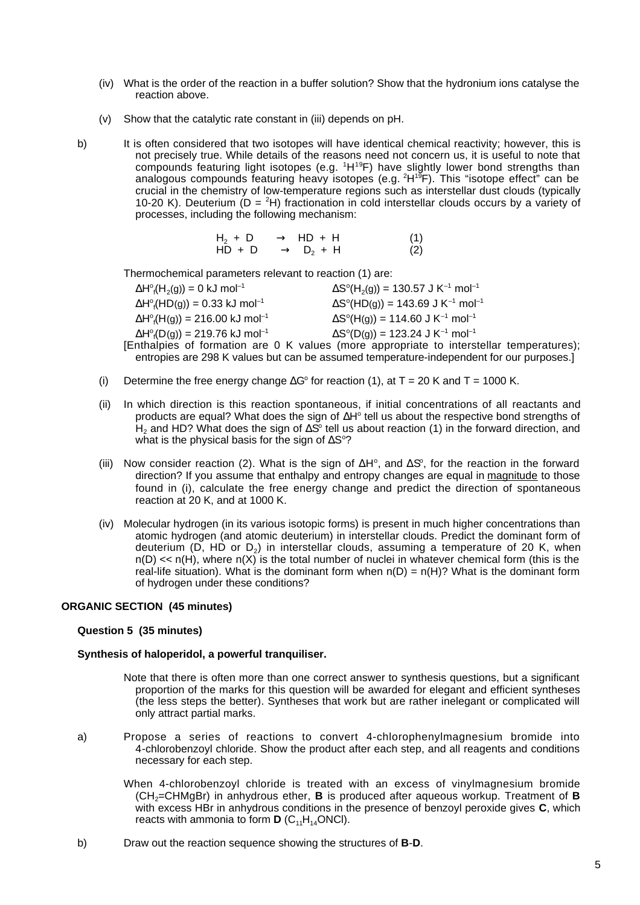- (iv) What is the order of the reaction in a buffer solution? Show that the hydronium ions catalyse the reaction above.
- (v) Show that the catalytic rate constant in (iii) depends on pH.
- b) It is often considered that two isotopes will have identical chemical reactivity; however, this is not precisely true. While details of the reasons need not concern us, it is useful to note that compounds featuring light isotopes (e.g. <sup>1</sup>H<sup>19</sup>F) have slightly lower bond strengths than analogous compounds featuring heavy isotopes (e.g. <sup>2</sup>H<sup>19</sup>F). This "isotope effect" can be crucial in the chemistry of low-temperature regions such as interstellar dust clouds (typically 10-20 K). Deuterium  $(D = {}^{2}H)$  fractionation in cold interstellar clouds occurs by a variety of processes, including the following mechanism:

| $H_2 + D \longrightarrow HD + H$ | (1) |
|----------------------------------|-----|
| $HD + D \longrightarrow D_2 + H$ | (2) |

Thermochemical parameters relevant to reaction (1) are:

| $\Delta H^{\circ}_{f}(H_{2}(g)) = 0$ kJ mol <sup>-1</sup>  | $\Delta S^{\circ}(H_2(g)) = 130.57$ J K <sup>-1</sup> mol <sup>-1</sup> |
|------------------------------------------------------------|-------------------------------------------------------------------------|
| $\Delta H^{\circ}_{f}(HD(g)) = 0.33$ kJ mol <sup>-1</sup>  | $\Delta S^{\circ}$ (HD(g)) = 143.69 J K <sup>-1</sup> mol <sup>-1</sup> |
| $\Delta H^{\circ}_{f}(H(g)) = 216.00$ kJ mol <sup>-1</sup> | $\Delta S^{\circ}(H(g)) = 114.60 \text{ J K}^{-1} \text{ mol}^{-1}$     |
| $\Delta H^{\circ}_{f}(D(g)) = 219.76$ kJ mol <sup>-1</sup> | $\Delta S^{\circ}(D(g)) = 123.24$ J K <sup>-1</sup> mol <sup>-1</sup>   |
|                                                            | inthalpies of formation are $0, K$ values (more appropriate to interste |

 $\Delta$ Fi<sub>f</sub>(D(g)) = 219.76 K3 more  $\Delta$ S (D(g)) = 123.24 3 K more<br>[Enthalpies of formation are 0 K values (more appropriate to interstellar temperatures); entropies are 298 K values but can be assumed temperature-independent for our purposes.]

- (i) Determine the free energy change  $\Delta G^{\circ}$  for reaction (1), at T = 20 K and T = 1000 K.
- (ii) In which direction is this reaction spontaneous, if initial concentrations of all reactants and products are equal? What does the sign of ∆H<sup>°</sup> tell us about the respective bond strengths of  $\mathsf{H}_2$  and HD? What does the sign of ∆S tell us about reaction (1) in the forward direction, and what is the physical basis for the sign of  $\Delta S^{\circ}$ ?
- (iii) Now consider reaction (2). What is the sign of  $\Delta H^{\circ}$ , and  $\Delta S^{\circ}$ , for the reaction in the forward direction? If you assume that enthalpy and entropy changes are equal in magnitude to those found in (i), calculate the free energy change and predict the direction of spontaneous reaction at 20 K, and at 1000 K.
- (iv) Molecular hydrogen (in its various isotopic forms) is present in much higher concentrations than atomic hydrogen (and atomic deuterium) in interstellar clouds. Predict the dominant form of deuterium ( $D$ , HD or  $D<sub>2</sub>$ ) in interstellar clouds, assuming a temperature of 20 K, when  $n(D) \ll n(H)$ , where  $n(X)$  is the total number of nuclei in whatever chemical form (this is the real-life situation). What is the dominant form when  $n(D) = n(H)$ ? What is the dominant form of hydrogen under these conditions?

#### **ORGANIC SECTION (45 minutes)**

#### **Question 5 (35 minutes)**

#### **Synthesis of haloperidol, a powerful tranquiliser.**

- Note that there is often more than one correct answer to synthesis questions, but a significant proportion of the marks for this question will be awarded for elegant and efficient syntheses (the less steps the better). Syntheses that work but are rather inelegant or complicated will only attract partial marks.
- a) Propose a series of reactions to convert 4-chlorophenylmagnesium bromide into 4-chlorobenzoyl chloride. Show the product after each step, and all reagents and conditions necessary for each step.
	- When 4-chlorobenzoyl chloride is treated with an excess of vinylmagnesium bromide (CH2=CHMgBr) in anhydrous ether, **B** is produced after aqueous workup. Treatment of **B** with excess HBr in anhydrous conditions in the presence of benzoyl peroxide gives **C**, which reacts with ammonia to form  $D$  ( $C_{11}H_{14}$ ONCl).
- b) Draw out the reaction sequence showing the structures of **B**-**D**.